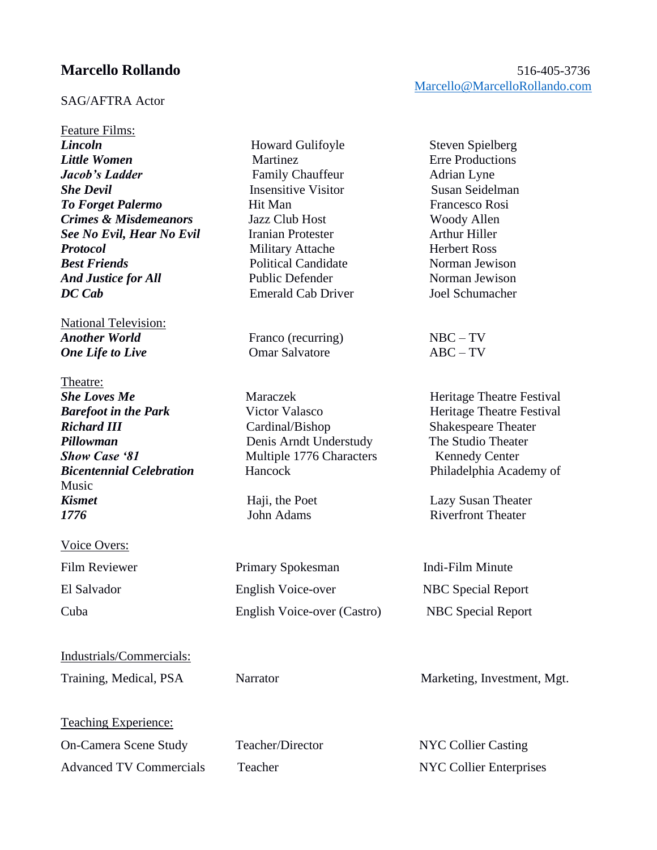## SAG/AFTRA Actor

Feature Films: *Lincoln* Howard Gulifoyle Steven Spielberg *Little Women* Martinez Erre Productions *Jacob's Ladder Family Chauffeur* Adrian Lyne **She Devil Insensitive Visitor** Susan Seidelman **To Forget Palermo** Hit Man Francesco Rosi *Crimes & Misdemeanors* Jazz Club Host Woody Allen **See No Evil, Hear No Evil** Iranian Protester **Arthur Hiller Protocol** Military Attache Herbert Ross *Best Friends* Political Candidate Norman Jewison *And Justice for All* Public Defender Norman Jewison *DC Cab* Emerald Cab Driver Joel Schumacher

National Television: *Another World* Franco (recurring) NBC – TV *One Life to Live* **Comar Salvatore COM ABC** – TV

Theatre: **She Loves Me** Maraczek **Maraczek** Heritage Theatre Festival Music *Kismet* Haji, the Poet Lazy Susan Theater **1776** John Adams **Riverfront Theater** 

## Voice Overs:

Industrials/Commercials:

Teaching Experience:

Advanced TV Commercials Teacher NYC Collier Enterprises

*Barefoot in the Park* Victor Valasco **Heritage Theatre Festival** *Richard III* Cardinal/Bishop Shakespeare Theater *Pillowman* Denis Arndt Understudy The Studio Theater **Show Case '81** Multiple 1776 Characters Kennedy Center **Bicentennial Celebration** Hancock Philadelphia Academy of

Film Reviewer Primary Spokesman Indi-Film Minute El Salvador English Voice-over NBC Special Report Cuba English Voice-over (Castro) NBC Special Report

## **Marcello Rollando** 516-405-3736 [Marcello@MarcelloRollando.com](mailto:Marcello@MarcelloRollando.com)

Training, Medical, PSA Narrator Marketing, Investment, Mgt.

On-Camera Scene Study Teacher/Director NYC Collier Casting